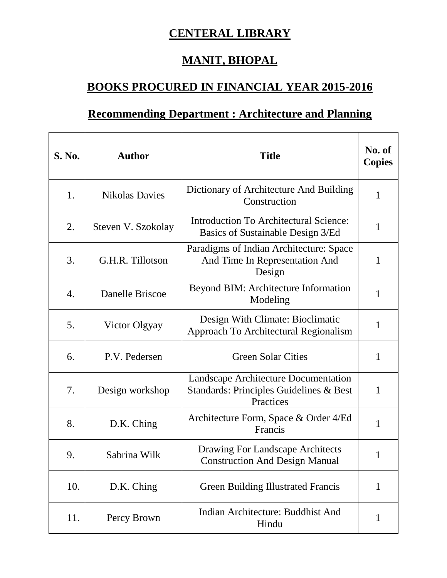## **CENTERAL LIBRARY**

## **MANIT, BHOPAL**

## **BOOKS PROCURED IN FINANCIAL YEAR 2015-2016**

## **Recommending Department : Architecture and Planning**

| S. No. | <b>Author</b>         | <b>Title</b>                                                                                 | No. of<br><b>Copies</b> |
|--------|-----------------------|----------------------------------------------------------------------------------------------|-------------------------|
| 1.     | <b>Nikolas Davies</b> | Dictionary of Architecture And Building<br>Construction                                      | $\mathbf{1}$            |
| 2.     | Steven V. Szokolay    | <b>Introduction To Architectural Science:</b><br>Basics of Sustainable Design 3/Ed           | 1                       |
| 3.     | G.H.R. Tillotson      | Paradigms of Indian Architecture: Space<br>And Time In Representation And<br>Design          | 1                       |
| 4.     | Danelle Briscoe       | Beyond BIM: Architecture Information<br>Modeling                                             | 1                       |
| 5.     | Victor Olgyay         | Design With Climate: Bioclimatic<br>Approach To Architectural Regionalism                    | 1                       |
| 6.     | P.V. Pedersen         | <b>Green Solar Cities</b>                                                                    | 1                       |
| 7.     | Design workshop       | Landscape Architecture Documentation<br>Standards: Principles Guidelines & Best<br>Practices | 1                       |
| 8.     | D.K. Ching            | Architecture Form, Space & Order 4/Ed<br>Francis                                             | 1                       |
| 9.     | Sabrina Wilk          | Drawing For Landscape Architects<br><b>Construction And Design Manual</b>                    |                         |
| 10.    | D.K. Ching            | <b>Green Building Illustrated Francis</b>                                                    | $\mathbf{1}$            |
| 11.    | Percy Brown           | Indian Architecture: Buddhist And<br>Hindu                                                   | 1                       |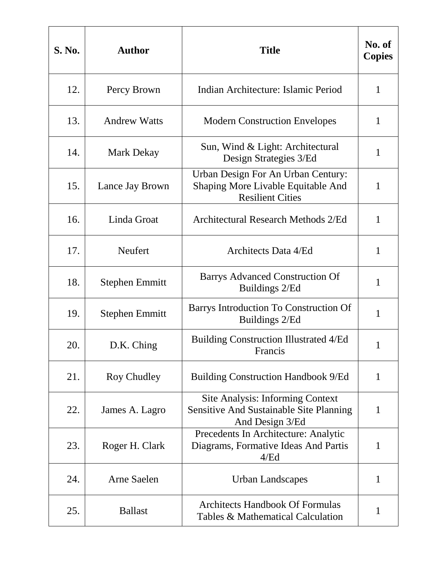| S. No. | <b>Author</b>         | <b>Title</b>                                                                                                 | No. of<br><b>Copies</b> |
|--------|-----------------------|--------------------------------------------------------------------------------------------------------------|-------------------------|
| 12.    | Percy Brown           | Indian Architecture: Islamic Period                                                                          | $\mathbf{1}$            |
| 13.    | <b>Andrew Watts</b>   | <b>Modern Construction Envelopes</b>                                                                         | 1                       |
| 14.    | <b>Mark Dekay</b>     | Sun, Wind & Light: Architectural<br>Design Strategies 3/Ed                                                   | $\mathbf{1}$            |
| 15.    | Lance Jay Brown       | Urban Design For An Urban Century:<br>Shaping More Livable Equitable And<br><b>Resilient Cities</b>          | $\mathbf{1}$            |
| 16.    | Linda Groat           | <b>Architectural Research Methods 2/Ed</b>                                                                   | $\mathbf{1}$            |
| 17.    | <b>Neufert</b>        | Architects Data 4/Ed                                                                                         | $\mathbf{1}$            |
| 18.    | <b>Stephen Emmitt</b> | Barrys Advanced Construction Of<br>Buildings 2/Ed                                                            | $\mathbf{1}$            |
| 19.    | <b>Stephen Emmitt</b> | Barrys Introduction To Construction Of<br>Buildings 2/Ed                                                     | 1                       |
| 20.    | D.K. Ching            | <b>Building Construction Illustrated 4/Ed</b><br>Francis                                                     | 1                       |
| 21.    | Roy Chudley           | <b>Building Construction Handbook 9/Ed</b>                                                                   | $\mathbf{1}$            |
| 22.    | James A. Lagro        | <b>Site Analysis: Informing Context</b><br><b>Sensitive And Sustainable Site Planning</b><br>And Design 3/Ed | $\mathbf{1}$            |
| 23.    | Roger H. Clark        | Precedents In Architecture: Analytic<br>Diagrams, Formative Ideas And Partis<br>4/Ed                         | 1                       |
| 24.    | Arne Saelen           | <b>Urban Landscapes</b>                                                                                      | $\mathbf{1}$            |
| 25.    | <b>Ballast</b>        | <b>Architects Handbook Of Formulas</b><br>Tables & Mathematical Calculation                                  | 1                       |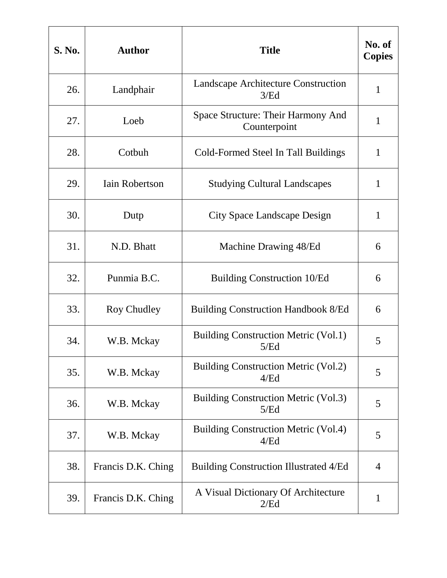| <b>S. No.</b> | <b>Author</b>         | <b>Title</b>                                        | No. of<br><b>Copies</b> |
|---------------|-----------------------|-----------------------------------------------------|-------------------------|
| 26.           | Landphair             | <b>Landscape Architecture Construction</b><br>3/Ed  | $\mathbf{1}$            |
| 27.           | Loeb                  | Space Structure: Their Harmony And<br>Counterpoint  | 1                       |
| 28.           | Cotbuh                | Cold-Formed Steel In Tall Buildings                 | $\mathbf{1}$            |
| 29.           | <b>Iain Robertson</b> | <b>Studying Cultural Landscapes</b>                 | $\mathbf{1}$            |
| 30.           | Dutp                  | City Space Landscape Design                         | $\mathbf{1}$            |
| 31.           | N.D. Bhatt            | Machine Drawing 48/Ed                               | 6                       |
| 32.           | Punmia B.C.           | <b>Building Construction 10/Ed</b>                  | 6                       |
| 33.           | Roy Chudley           | <b>Building Construction Handbook 8/Ed</b>          | 6                       |
| 34.           | W.B. Mckay            | <b>Building Construction Metric (Vol.1)</b><br>5/Ed | 5                       |
| 35.           | W.B. Mckay            | <b>Building Construction Metric (Vol.2)</b><br>4/Ed | 5                       |
| 36.           | W.B. Mckay            | <b>Building Construction Metric (Vol.3)</b><br>5/Ed | 5                       |
| 37.           | W.B. Mckay            | <b>Building Construction Metric (Vol.4)</b><br>4/Ed | 5                       |
| 38.           | Francis D.K. Ching    | <b>Building Construction Illustrated 4/Ed</b>       | 4                       |
| 39.           | Francis D.K. Ching    | A Visual Dictionary Of Architecture<br>2/Ed         | 1                       |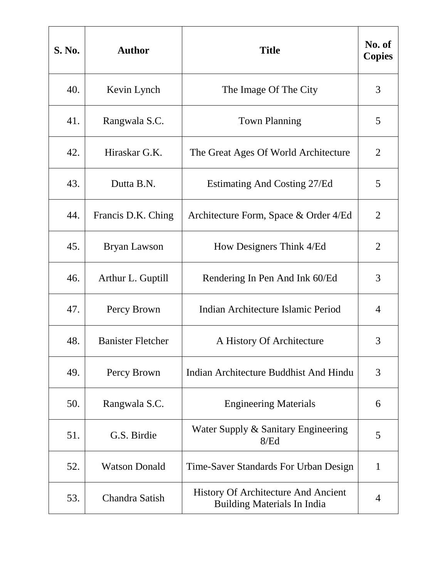| <b>S. No.</b> | <b>Author</b>            | <b>Title</b>                                                                     | No. of<br><b>Copies</b> |
|---------------|--------------------------|----------------------------------------------------------------------------------|-------------------------|
| 40.           | Kevin Lynch              | The Image Of The City                                                            | 3                       |
| 41.           | Rangwala S.C.            | <b>Town Planning</b>                                                             | 5                       |
| 42.           | Hiraskar G.K.            | The Great Ages Of World Architecture                                             | $\overline{2}$          |
| 43.           | Dutta B.N.               | Estimating And Costing 27/Ed                                                     | 5                       |
| 44.           | Francis D.K. Ching       | Architecture Form, Space & Order 4/Ed                                            | $\overline{2}$          |
| 45.           | Bryan Lawson             | How Designers Think 4/Ed                                                         | $\overline{2}$          |
| 46.           | Arthur L. Guptill        | Rendering In Pen And Ink 60/Ed                                                   | 3                       |
| 47.           | Percy Brown              | Indian Architecture Islamic Period                                               | 4                       |
| 48.           | <b>Banister Fletcher</b> | A History Of Architecture                                                        | 3                       |
| 49.           | Percy Brown              | Indian Architecture Buddhist And Hindu                                           | 3                       |
| 50.           | Rangwala S.C.            | <b>Engineering Materials</b>                                                     | 6                       |
| 51.           | G.S. Birdie              | Water Supply & Sanitary Engineering<br>8/Ed                                      | 5                       |
| 52.           | <b>Watson Donald</b>     | Time-Saver Standards For Urban Design                                            | $\mathbf{1}$            |
| 53.           | Chandra Satish           | <b>History Of Architecture And Ancient</b><br><b>Building Materials In India</b> | 4                       |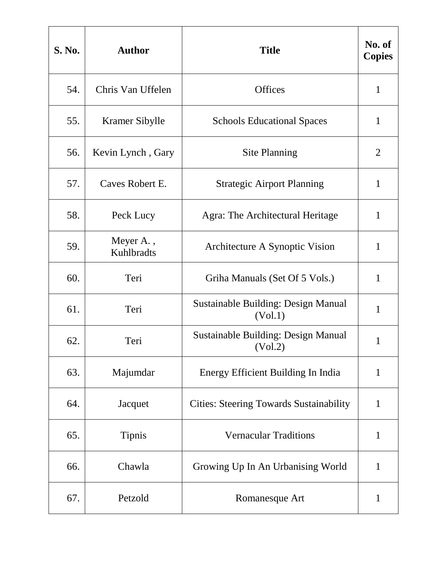| <b>S. No.</b> | <b>Author</b>           | <b>Title</b>                                          | No. of<br><b>Copies</b> |
|---------------|-------------------------|-------------------------------------------------------|-------------------------|
| 54.           | Chris Van Uffelen       | <b>Offices</b>                                        | $\mathbf{1}$            |
| 55.           | Kramer Sibylle          | <b>Schools Educational Spaces</b>                     | $\mathbf{1}$            |
| 56.           | Kevin Lynch, Gary       | <b>Site Planning</b>                                  | $\overline{2}$          |
| 57.           | Caves Robert E.         | <b>Strategic Airport Planning</b>                     | $\mathbf{1}$            |
| 58.           | Peck Lucy               | Agra: The Architectural Heritage                      | $\mathbf{1}$            |
| 59.           | Meyer A.,<br>Kuhlbradts | Architecture A Synoptic Vision                        | $\mathbf{1}$            |
| 60.           | Teri                    | Griha Manuals (Set Of 5 Vols.)                        | $\mathbf{1}$            |
| 61.           | Teri                    | <b>Sustainable Building: Design Manual</b><br>(Vol.1) | $\mathbf{1}$            |
| 62.           | Teri                    | Sustainable Building: Design Manual<br>(Vol.2)        | 1                       |
| 63.           | Majumdar                | <b>Energy Efficient Building In India</b>             | $\mathbf{1}$            |
| 64.           | Jacquet                 | <b>Cities: Steering Towards Sustainability</b>        | $\mathbf{1}$            |
| 65.           | <b>Tipnis</b>           | <b>Vernacular Traditions</b>                          | $\mathbf{1}$            |
| 66.           | Chawla                  | Growing Up In An Urbanising World                     | 1                       |
| 67.           | Petzold                 | Romanesque Art                                        | $\mathbf{1}$            |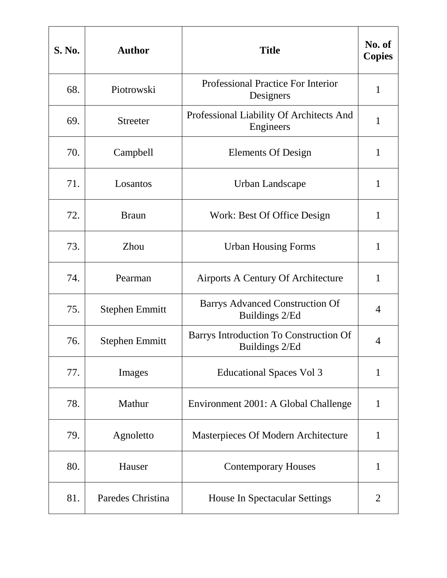| <b>S. No.</b> | <b>Author</b>         | <b>Title</b>                                             | No. of<br><b>Copies</b> |
|---------------|-----------------------|----------------------------------------------------------|-------------------------|
| 68.           | Piotrowski            | <b>Professional Practice For Interior</b><br>Designers   | $\mathbf{1}$            |
| 69.           | <b>Streeter</b>       | Professional Liability Of Architects And<br>Engineers    | 1                       |
| 70.           | Campbell              | <b>Elements Of Design</b>                                | $\mathbf{1}$            |
| 71.           | Losantos              | Urban Landscape                                          | $\mathbf{1}$            |
| 72.           | <b>Braun</b>          | Work: Best Of Office Design                              | $\mathbf{1}$            |
| 73.           | Zhou                  | <b>Urban Housing Forms</b>                               | $\mathbf{1}$            |
| 74.           | Pearman               | Airports A Century Of Architecture                       | 1                       |
| 75.           | <b>Stephen Emmitt</b> | <b>Barrys Advanced Construction Of</b><br>Buildings 2/Ed | 4                       |
| 76.           | <b>Stephen Emmitt</b> | Barrys Introduction To Construction Of<br>Buildings 2/Ed | 4                       |
| 77.           | Images                | <b>Educational Spaces Vol 3</b>                          | $\mathbf{1}$            |
| 78.           | Mathur                | Environment 2001: A Global Challenge                     | $\mathbf{1}$            |
| 79.           | Agnoletto             | Masterpieces Of Modern Architecture                      | $\mathbf{1}$            |
| 80.           | Hauser                | <b>Contemporary Houses</b>                               | 1                       |
| 81.           | Paredes Christina     | House In Spectacular Settings                            | 2                       |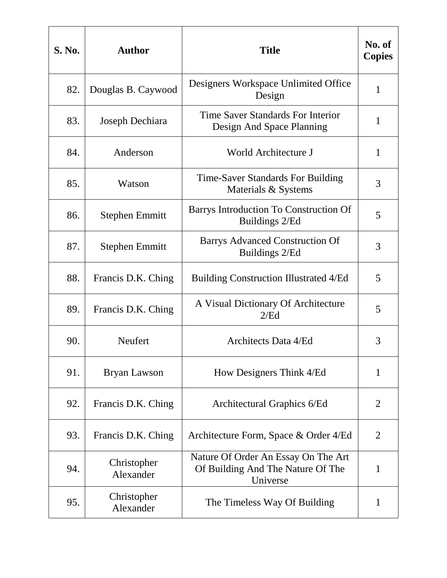| <b>S. No.</b> | <b>Author</b>            | <b>Title</b>                                                                         | No. of<br><b>Copies</b> |
|---------------|--------------------------|--------------------------------------------------------------------------------------|-------------------------|
| 82.           | Douglas B. Caywood       | Designers Workspace Unlimited Office<br>Design                                       | $\mathbf{1}$            |
| 83.           | Joseph Dechiara          | Time Saver Standards For Interior<br>Design And Space Planning                       | 1                       |
| 84.           | Anderson                 | World Architecture J                                                                 | $\mathbf{1}$            |
| 85.           | Watson                   | Time-Saver Standards For Building<br>Materials & Systems                             | 3                       |
| 86.           | <b>Stephen Emmitt</b>    | Barrys Introduction To Construction Of<br>Buildings 2/Ed                             | 5                       |
| 87.           | <b>Stephen Emmitt</b>    | <b>Barrys Advanced Construction Of</b><br>Buildings 2/Ed                             | 3                       |
| 88.           | Francis D.K. Ching       | <b>Building Construction Illustrated 4/Ed</b>                                        | 5                       |
| 89.           | Francis D.K. Ching       | A Visual Dictionary Of Architecture<br>2/Ed                                          | 5                       |
| 90.           | Neufert                  | Architects Data 4/Ed                                                                 | 3                       |
| 91.           | Bryan Lawson             | How Designers Think 4/Ed                                                             | $\mathbf{1}$            |
| 92.           | Francis D.K. Ching       | Architectural Graphics 6/Ed                                                          | $\overline{2}$          |
| 93.           | Francis D.K. Ching       | Architecture Form, Space & Order 4/Ed                                                | $\overline{2}$          |
| 94.           | Christopher<br>Alexander | Nature Of Order An Essay On The Art<br>Of Building And The Nature Of The<br>Universe | 1                       |
| 95.           | Christopher<br>Alexander | The Timeless Way Of Building                                                         | 1                       |